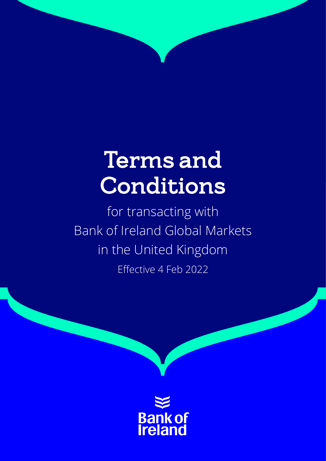# Terms and Conditions

for transacting with Bank of Ireland Global Markets in the United Kingdom Effective 4 Feb 2022

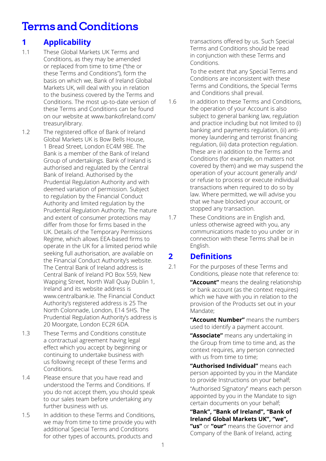# Terms and Conditions

# **1 Applicability**

- 1.1 These Global Markets UK Terms and Conditions, as they may be amended or replaced from time to time ("the or these Terms and Conditions"), form the basis on which we, Bank of Ireland Global Markets UK, will deal with you in relation to the business covered by the Terms and Conditions. The most up-to-date version of these Terms and Conditions can be found on our website at www.bankofireland.com/ treasurylibrary.
- 1.2 The registered office of Bank of Ireland Global Markets UK is Bow Bells House, 1 Bread Street, London EC4M 9BE. The Bank is a member of the Bank of Ireland Group of undertakings. Bank of Ireland is authorised and regulated by the Central Bank of Ireland. Authorised by the Prudential Regulation Authority and with deemed variation of permission. Subject to regulation by the Financial Conduct Authority and limited regulation by the Prudential Regulation Authority. The nature and extent of consumer protections may differ from those for firms based in the UK. Details of the Temporary Permissions Regime, which allows EEA-based firms to operate in the UK for a limited period while seeking full authorisation, are available on the Financial Conduct Authority's website. The Central Bank of Ireland address is Central Bank of Ireland PO Box 559, New Wapping Street, North Wall Quay Dublin 1, Ireland and its website address is www.centralbank.ie. The Financial Conduct Authority's registered address is 25 The North Colonnade, London, E14 5HS. The Prudential Regulation Authority's address is 20 Moorgate, London EC2R 6DA.
- 1.3 These Terms and Conditions constitute a contractual agreement having legal effect which you accept by beginning or continuing to undertake business with us following receipt of these Terms and Conditions.
- 1.4 Please ensure that you have read and understood the Terms and Conditions. If you do not accept them, you should speak to our sales team before undertaking any further business with us.
- 1.5 In addition to these Terms and Conditions, we may from time to time provide you with additional Special Terms and Conditions for other types of accounts, products and

transactions offered by us. Such Special Terms and Conditions should be read in conjunction with these Terms and Conditions.

To the extent that any Special Terms and Conditions are inconsistent with these Terms and Conditions, the Special Terms and Conditions shall prevail.

- 1.6 In addition to these Terms and Conditions, the operation of your Account is also subject to general banking law, regulation and practice including but not limited to (i) banking and payments regulation, (ii) antimoney laundering and terrorist financing regulation, (iii) data protection regulation. These are in addition to the Terms and Conditions (for example, on matters not covered by them) and we may suspend the operation of your account generally and/ or refuse to process or execute individual transactions when required to do so by law. Where permitted, we will advise you that we have blocked your account, or stopped any transaction.
- 1.7 These Conditions are in English and, unless otherwise agreed with you, any communications made to you under or in connection with these Terms shall be in English.

# **2 Definitions**

2.1 For the purposes of these Terms and Conditions, please note that reference to:

> **"Account"** means the dealing relationship or bank account (as the context requires) which we have with you in relation to the provision of the Products set out in your Mandate;

**"Account Number"** means the numbers used to identify a payment account.

**"Associate"** means any undertaking in the Group from time to time and, as the context requires, any person connected with us from time to time;

**"Authorised Individual"** means each person appointed by you in the Mandate to provide Instructions on your behalf;

"Authorised Signatory" means each person appointed by you in the Mandate to sign certain documents on your behalf;

**"Bank", "Bank of Ireland", "Bank of Ireland Global Markets UK", "we", "us"** or **"our"** means the Governor and Company of the Bank of Ireland, acting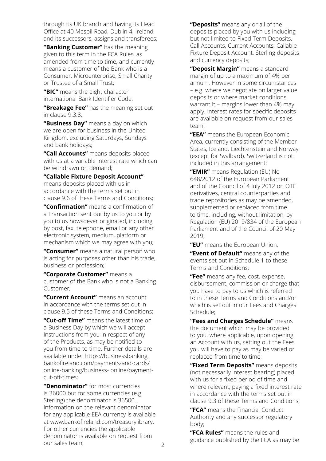through its UK branch and having its Head Office at 40 Mespil Road, Dublin 4, Ireland, and its successors, assigns and transferees;

**"Banking Customer"** has the meaning given to this term in the FCA Rules, as amended from time to time, and currently means a customer of the Bank who is a Consumer, Microenterprise, Small Charity or Trustee of a Small Trust;

**"BIC"** means the eight character international Bank Identifier Code;

**"Breakage Fee"** has the meaning set out in clause 9.3.8;

**"Business Day"** means a day on which we are open for business in the United Kingdom, excluding Saturdays, Sundays and bank holidays;

**"Call Accounts"** means deposits placed with us at a variable interest rate which can be withdrawn on demand;

#### **"Callable Fixture Deposit Account"**

means deposits placed with us in accordance with the terms set out in clause 9.6 of these Terms and Conditions;

**"Confirmation"** means a confirmation of a Transaction sent out by us to you or by you to us howsoever originated, including by post, fax, telephone, email or any other electronic system, medium, platform or mechanism which we may agree with you;

**"Consumer"** means a natural person who is acting for purposes other than his trade, business or profession;

**"Corporate Customer"** means a customer of the Bank who is not a Banking Customer;

**"Current Account"** means an account in accordance with the terms set out in clause 9.5 of these Terms and Conditions;

**"Cut-off Time"** means the latest time on a Business Day by which we will accept Instructions from you in respect of any of the Products, as may be notified to you from time to time. Further details are available under https://businessbanking. bankofireland.com/payments-and-cards/ [online-banking/business- online/payment](https://businessbanking.bankofireland.com/ payments-and-cards/online-banking/business- online/payment-cut-off-times)cut-off-times;

**"Denominator"** for most currencies is 36000 but for some currencies (e.g. Sterling) the denominator is 36500. Information on the relevant denominator for any applicable EEA currency is available at www.bankofireland.com/treasurylibrary. For other currencies the applicable denominator is available on request from our sales team;

**"Deposits"** means any or all of the deposits placed by you with us including but not limited to Fixed Term Deposits, Call Accounts, Current Accounts, Callable Fixture Deposit Account, Sterling deposits and currency deposits;

**"Deposit Margin"** means a standard margin of up to a maximum of 4% per annum. However in some circumstances – e.g. where we negotiate on larger value deposits or where market conditions warrant it – margins lower than 4% may apply. Interest rates for specific deposits are available on request from our sales team;

**"EEA"** means the European Economic Area, currently consisting of the Member States, Iceland, Liechtenstein and Norway (except for Svalbard). Switzerland is not included in this arrangement;

**"EMIR"** means Regulation (EU) No 648/2012 of the European Parliament and of the Council of 4 July 2012 on OTC derivatives, central counterparties and trade repositories as may be amended, supplemented or replaced from time to time, including, without limitation, by Regulation (EU) 2019/834 of the European Parliament and of the Council of 20 May 2019;

**"EU"** means the European Union;

**"Event of Default"** means any of the events set out in Schedule 1 to these Terms and Conditions;

**"Fee"** means any fee, cost, expense, disbursement, commission or charge that you have to pay to us which is referred to in these Terms and Conditions and/or which is set out in our Fees and Charges Schedule;

**"Fees and Charges Schedule"** means the document which may be provided to you, where applicable, upon opening an Account with us, setting out the Fees you will have to pay as may be varied or replaced from time to time;

**"Fixed Term Deposits"** means deposits (not necessarily interest bearing) placed with us for a fixed period of time and where relevant, paying a fixed interest rate in accordance with the terms set out in clause 9.3 of these Terms and Conditions;

**"FCA"** means the Financial Conduct Authority and any successor regulatory body;

**"FCA Rules"** means the rules and guidance published by the FCA as may be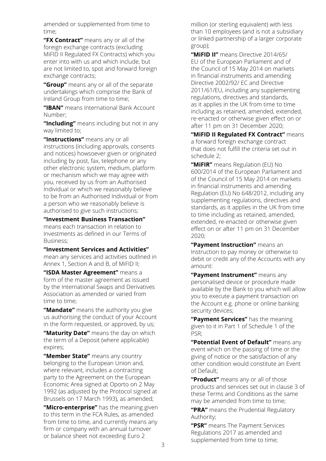amended or supplemented from time to time;

**"FX Contract"** means any or all of the foreign exchange contracts (excluding MiFID II Regulated FX Contracts) which you enter into with us and which include, but are not limited to, spot and forward foreign exchange contracts;

**"Group"** means any or all of the separate undertakings which comprise the Bank of Ireland Group from time to time;

**"IBAN"** means International Bank Account Number;

**"Including"** means including but not in any way limited to;

**"Instructions"** means any or all instructions (including approvals, consents and notices) howsoever given or originated including by post, fax, telephone or any other electronic system, medium, platform or mechanism which we may agree with you, received by us from an Authorised Individual or which we reasonably believe to be from an Authorised Individual or from a person who we reasonably believe is authorised to give such instructions;

**"Investment Business Transaction"** means each transaction in relation to Investments as defined in our Terms of Business;

**"Investment Services and Activities"**

mean any services and activities outlined in Annex 1, Section A and B, of MiFID II;

**"ISDA Master Agreement"** means a form of the master agreement as issued by the International Swaps and Derivatives Association as amended or varied from time to time;

**"Mandate"** means the authority you give us authorising the conduct of your Account in the form requested, or approved, by us;

**"Maturity Date"** means the day on which the term of a Deposit (where applicable) expires;

**"Member State"** means any country belonging to the European Union and, where relevant, includes a contracting party to the Agreement on the European Economic Area signed at Oporto on 2 May 1992 (as adjusted by the Protocol signed at Brussels on 17 March 1993), as amended;

**"Micro-enterprise"** has the meaning given to this term in the FCA Rules, as amended from time to time, and currently means any firm or company with an annual turnover or balance sheet not exceeding Euro 2

million (or sterling equivalent) with less than 10 employees (and is not a subsidiary or linked partnership of a larger corporate group);

**"MiFID II"** means Directive 2014/65/ EU of the European Parliament and of the Council of 15 May 2014 on markets in financial instruments and amending Directive 2002/92/ EC and Directive 2011/61/EU, including any supplementing regulations, directives and standards, as it applies in the UK from time to time including as retained, amended, extended, re-enacted or otherwise given effect on or after 11 pm on 31 December 2020;

**"MiFID II Regulated FX Contract"** means a forward foreign exchange contract that does not fulfill the criteria set out in schedule 2;

**"MiFIR"** means Regulation (EU) No 600/2014 of the European Parliament and of the Council of 15 May 2014 on markets in financial instruments and amending Regulation (EU) No 648/2012, including any supplementing regulations, directives and standards, as it applies in the UK from time to time including as retained, amended, extended, re-enacted or otherwise given effect on or after 11 pm on 31 December  $2020$ 

**"Payment Instruction"** means an Instruction to pay money or otherwise to debit or credit any of the Accounts with any amount:

**"Payment Instrument"** means any personalised device or procedure made available by the Bank to you which will allow you to execute a payment transaction on the Account e.g. phone or online banking security devices;

**"Payment Services"** has the meaning given to it in Part 1 of Schedule 1 of the PSR;

**"Potential Event of Default"** means any event which on the passing of time or the giving of notice or the satisfaction of any other condition would constitute an Event of Default;

**"Product"** means any or all of those products and services set out in clause 3 of these Terms and Conditions as the same may be amended from time to time;

**"PRA"** means the Prudential Regulatory Authority;

**"PSR"** means The Payment Services Regulations 2017 as amended and supplemented from time to time;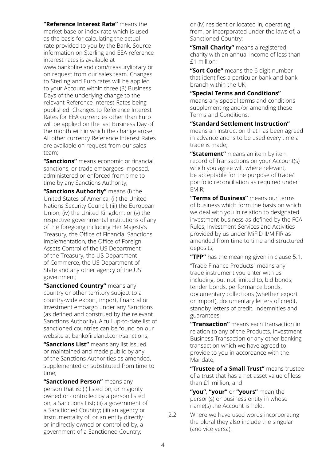**"Reference Interest Rate"** means the market base or index rate which is used as the basis for calculating the actual rate provided to you by the Bank. Source information on Sterling and EEA reference interest rates is available at www.bankofireland.com/treasurylibrary or on request from our sales team. Changes to Sterling and Euro rates will be applied to your Account within three (3) Business Days of the underlying change to the relevant Reference Interest Rates being published. Changes to Reference Interest Rates for EEA currencies other than Euro will be applied on the last Business Day of the month within which the change arose. All other currency Reference Interest Rates are available on request from our sales team;

**"Sanctions"** means economic or financial sanctions, or trade embargoes imposed, administered or enforced from time to time by any Sanctions Authority;

**"Sanctions Authority"** means (i) the United States of America; (ii) the United Nations Security Council; (iii) the European Union; (iv) the United Kingdom; or (v) the respective governmental institutions of any of the foregoing including Her Majesty's Treasury, the Office of Financial Sanctions Implementation, the Office of Foreign Assets Control of the US Department of the Treasury, the US Department of Commerce, the US Department of State and any other agency of the US government;

**"Sanctioned Country"** means any country or other territory subject to a country-wide export, import, financial or investment embargo under any Sanctions (as defined and construed by the relevant Sanctions Authority). A full up-to-date list of sanctioned countries can be found on our website at bankofireland.com/sanctions;

**"Sanctions List"** means any list issued or maintained and made public by any of the Sanctions Authorities as amended, supplemented or substituted from time to time;

**"Sanctioned Person"** means any person that is: (i) listed on, or majority owned or controlled by a person listed on, a Sanctions List; (ii) a government of a Sanctioned Country; (iii) an agency or instrumentality of, or an entity directly or indirectly owned or controlled by, a government of a Sanctioned Country;

or (iv) resident or located in, operating from, or incorporated under the laws of, a Sanctioned Country;

**"Small Charity"** means a registered charity with an annual income of less than £1 million;

**"Sort Code"** means the 6 digit number that identifies a particular bank and bank branch within the UK;

#### **"Special Terms and Conditions"**

means any special terms and conditions supplementing and/or amending these Terms and Conditions;

**"Standard Settlement Instruction"** means an Instruction that has been agreed in advance and is to be used every time a trade is made;

**"Statement"** means an item by item record of Transactions on your Account(s) which you agree will, where relevant, be acceptable for the purpose of trade/ portfolio reconciliation as required under EMIR;

**"Terms of Business"** means our terms of business which form the basis on which we deal with you in relation to designated investment business as defined by the FCA Rules, Investment Services and Activities provided by us under MiFID II/MiFIR as amended from time to time and structured deposits;

**"TPP"** has the meaning given in clause 5.1;

"Trade Finance Products" means any trade instrument you enter with us including, but not limited to, bid bonds, tender bonds, performance bonds, documentary collections (whether export or import), documentary letters of credit, standby letters of credit, indemnities and guarantees;

**"Transaction"** means each transaction in relation to any of the Products, Investment Business Transaction or any other banking transaction which we have agreed to provide to you in accordance with the Mandate;

**"Trustee of a Small Trust"** means trustee of a trust that has a net asset value of less than £1 million; and

**"you"**, **"your"** or **"yours"** mean the person(s) or business entity in whose name(s) the Account is held.

2.2 Where we have used words incorporating the plural they also include the singular (and vice versa).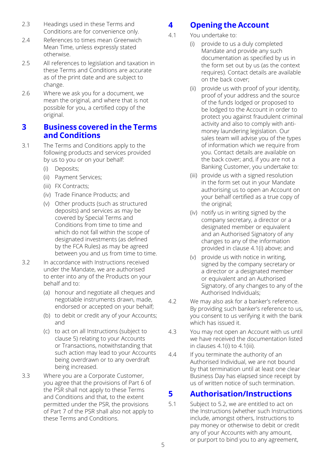- 2.3 Headings used in these Terms and Conditions are for convenience only.
- 2.4 References to times mean Greenwich Mean Time, unless expressly stated otherwise.
- 2.5 All references to legislation and taxation in these Terms and Conditions are accurate as of the print date and are subject to change.
- 2.6 Where we ask you for a document, we mean the original, and where that is not possible for you, a certified copy of the original.

# **3 Business covered in the Terms and Conditions**

- 3.1 The Terms and Conditions apply to the following products and services provided by us to you or on your behalf:
	- (i) Deposits;
	- (ii) Payment Services;
	- (iii) FX Contracts;
	- (iv) Trade Finance Products; and
	- (v) Other products (such as structured deposits) and services as may be covered by Special Terms and Conditions from time to time and which do not fall within the scope of designated investments (as defined by the FCA Rules) as may be agreed between you and us from time to time.
- 3.2 In accordance with Instructions received under the Mandate, we are authorised to enter into any of the Products on your behalf and to:
	- (a) honour and negotiate all cheques and negotiable instruments drawn, made, endorsed or accepted on your behalf;
	- (b) to debit or credit any of your Accounts; and
	- (c) to act on all Instructions (subject to clause 5) relating to your Accounts or Transactions, notwithstanding that such action may lead to your Accounts being overdrawn or to any overdraft being increased.
- 3.3 Where you are a Corporate Customer, you agree that the provisions of Part 6 of the PSR shall not apply to these Terms and Conditions and that, to the extent permitted under the PSR, the provisions of Part 7 of the PSR shall also not apply to these Terms and Conditions.

# **4 Opening the Account**

- 4.1 You undertake to:
	- (i) provide to us a duly completed Mandate and provide any such documentation as specified by us in the form set out by us (as the context requires). Contact details are available on the back cover;
	- (ii) provide us with proof of your identity, proof of your address and the source of the funds lodged or proposed to be lodged to the Account in order to protect you against fraudulent criminal activity and also to comply with antimoney laundering legislation. Our sales team will advise you of the types of information which we require from you. Contact details are available on the back cover; and, if you are not a Banking Customer, you undertake to:
	- (iii) provide us with a signed resolution in the form set out in your Mandate authorising us to open an Account on your behalf certified as a true copy of the original;
	- (iv) notify us in writing signed by the company secretary, a director or a designated member or equivalent and an Authorised Signatory of any changes to any of the information provided in clause 4.1(i) above; and
	- (v) provide us with notice in writing, signed by the company secretary or a director or a designated member or equivalent and an Authorised Signatory, of any changes to any of the Authorised Individuals;
- 4.2 We may also ask for a banker's reference. By providing such banker's reference to us, you consent to us verifying it with the bank which has issued it.
- 4.3 You may not open an Account with us until we have received the documentation listed in clauses 4.1(i) to 4.1(iii).
- 4.4 If you terminate the authority of an Authorised Individual, we are not bound by that termination until at least one clear Business Day has elapsed since receipt by us of written notice of such termination.

# **5 Authorisation/Instructions**

5.1 Subject to 5.2, we are entitled to act on the Instructions (whether such Instructions include, amongst others, Instructions to pay money or otherwise to debit or credit any of your Accounts with any amount, or purport to bind you to any agreement,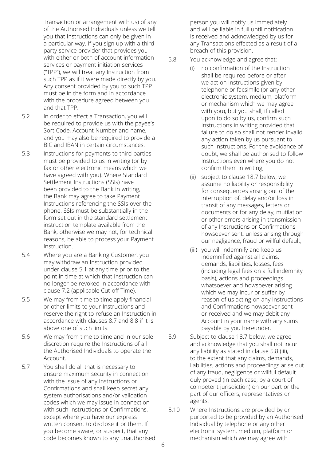Transaction or arrangement with us) of any of the Authorised Individuals unless we tell you that Instructions can only be given in a particular way. If you sign up with a third party service provider that provides you with either or both of account information services or payment initiation services ("TPP"), we will treat any Instruction from such TPP as if it were made directly by you. Any consent provided by you to such TPP must be in the form and in accordance with the procedure agreed between you and that TPP.

- 5.2 In order to effect a Transaction, you will be required to provide us with the payee's Sort Code, Account Number and name, and you may also be required to provide a BIC and IBAN in certain circumstances.
- 5.3 Instructions for payments to third parties must be provided to us in writing (or by fax or other electronic means which we have agreed with you). Where Standard Settlement Instructions (SSIs) have been provided to the Bank in writing, the Bank may agree to take Payment Instructions referencing the SSIs over the phone. SSIs must be substantially in the form set out in the standard settlement instruction template available from the Bank, otherwise we may not, for technical reasons, be able to process your Payment Instruction.
- 5.4 Where you are a Banking Customer, you may withdraw an Instruction provided under clause 5.1 at any time prior to the point in time at which that Instruction can no longer be revoked in accordance with clause 7.2 (applicable Cut-off Time).
- 5.5 We may from time to time apply financial or other limits to your Instructions and reserve the right to refuse an Instruction in accordance with clauses 8.7 and 8.8 if it is above one of such limits.
- 5.6 We may from time to time and in our sole discretion require the Instructions of all the Authorised Individuals to operate the Account.
- 5.7 You shall do all that is necessary to ensure maximum security in connection with the issue of any Instructions or Confirmations and shall keep secret any system authorisations and/or validation codes which we may issue in connection with such Instructions or Confirmations. except where you have our express written consent to disclose it or them. If you become aware, or suspect, that any code becomes known to any unauthorised

person you will notify us immediately and will be liable in full until notification is received and acknowledged by us for any Transactions effected as a result of a breach of this provision.

- 5.8 You acknowledge and agree that:
	- (i) no confirmation of the Instruction shall be required before or after we act on Instructions given by telephone or facsimile (or any other electronic system, medium, platform or mechanism which we may agree with you), but you shall, if called upon to do so by us, confirm such Instructions in writing provided that failure to do so shall not render invalid any action taken by us pursuant to such Instructions. For the avoidance of doubt, we shall be authorised to follow Instructions even where you do not confirm them in writing;
	- (ii) subject to clause 18.7 below, we assume no liability or responsibility for consequences arising out of the interruption of, delay and/or loss in transit of any messages, letters or documents or for any delay, mutilation or other errors arising in transmission of any Instructions or Confirmations howsoever sent, unless arising through our negligence, fraud or willful default;
	- (iii) you will indemnify and keep us indemnified against all claims, demands, liabilities, losses, fees (including legal fees on a full indemnity basis), actions and proceedings whatsoever and howsoever arising which we may incur or suffer by reason of us acting on any Instructions and Confirmations howsoever sent or received and we may debit any Account in your name with any sums payable by you hereunder.
- 5.9 Subject to clause 18.7 below, we agree and acknowledge that you shall not incur any liability as stated in clause 5.8 (iii), to the extent that any claims, demands, liabilities, actions and proceedings arise out of any fraud, negligence or willful default duly proved (in each case, by a court of competent jurisdiction) on our part or the part of our officers, representatives or agents.
- 5.10 Where Instructions are provided by or purported to be provided by an Authorised Individual by telephone or any other electronic system, medium, platform or mechanism which we may agree with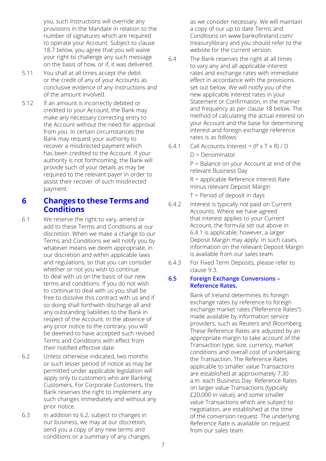you, such Instructions will override any provisions in the Mandate in relation to the number of signatures which are required to operate your Account. Subject to clause 18.7 below, you agree that you will waive your right to challenge any such message on the basis of how, or if, it was delivered.

- 5.11 You shall at all times accept the debit or the credit of any of your Accounts as conclusive evidence of any Instructions and of the amount involved.
- 5.12 If an amount is incorrectly debited or credited to your Account, the Bank may make any necessary correcting entry to the Account without the need for approval from you. In certain circumstances the Bank may request your authority to recover a misdirected payment which has been credited to the Account. If your authority is not forthcoming, the Bank will provide such of your details as may be required to the relevant payer in order to assist their recover of such misdirected payment.

# **6 Changes to these Terms and Conditions**

- 6.1 We reserve the right to vary, amend or add to these Terms and Conditions at our discretion. When we make a change to our Terms and Conditions we will notify you by whatever means we deem appropriate, in our discretion and within applicable laws and regulations, so that you can consider whether or not you wish to continue to deal with us on the basis of our new terms and conditions. If you do not wish to continue to deal with us you shall be free to dissolve this contract with us and if so doing shall forthwith discharge all and any outstanding liabilities to the Bank in respect of the Account. In the absence of any prior notice to the contrary, you will be deemed to have accepted such revised Terms and Conditions with effect from their notified effective date.
- 6.2 Unless otherwise indicated, two months or such lesser period of notice as may be permitted under applicable legislation will apply only to customers who are Banking Customers. For Corporate Customers, the Bank reserves the right to implement any such changes immediately and without any prior notice.
- 6.3 In addition to 6.2, subject to changes in our business, we may at our discretion, send you a copy of any new terms and conditions or a summary of any changes

as we consider necessary. We will maintain a copy of our up to date Terms and Conditions on www.bankofireland.com/ treasurylibrary and you should refer to the website for the current version.

- 6.4 [The Bank reserves the right at all times](http://www.bankofireland.com/treasurylibrary)  to vary any and all applicable interest rates and exchange rates with immediate effect in accordance with the provisions set out below. We will notify you of the new applicable interest rates in your Statement or Confirmation, in the manner and frequency as per clause 18 below. The method of calculating the actual interest on your Account and the base for determining interest and foreign exchange reference rates is as follows:
- 6.4.1 Call Accounts Interest =  $(P \times T \times R) / D$

 $D = Denominator$ 

P = Balance on your Account at end of the relevant Business Day

R = applicable Reference Interest Rate minus relevant Deposit Margin

T = Period of deposit in days

- 6.4.2 Interest is typically not paid on Current Accounts. Where we have agreed that interest applies to your Current Account, the formula set out above in 6.4.1 is applicable; however, a larger Deposit Margin may apply. In such cases, information on the relevant Deposit Margin is available from our sales team.
- 6.4.3 For Fixed Term Deposits, please refer to clause 9.3.

#### **6.5 Foreign Exchange Conversions – Reference Rates.**

Bank of Ireland determines its foreign exchange rates by reference to foreign exchange market rates ("Reference Rates") made available by information service providers, such as Reuters and Bloomberg. These Reference Rates are adjusted by an appropriate margin to take account of the Transaction type, size, currency, market conditions and overall cost of undertaking the Transaction. The Reference Rates applicable to smaller value Transactions are established at approximately 7.30 a.m. each Business Day. Reference Rates on larger value Transactions (typically £20,000 in value), and some smaller value Transactions which are subject to negotiation, are established at the time of the conversion request. The underlying Reference Rate is available on request from our sales team.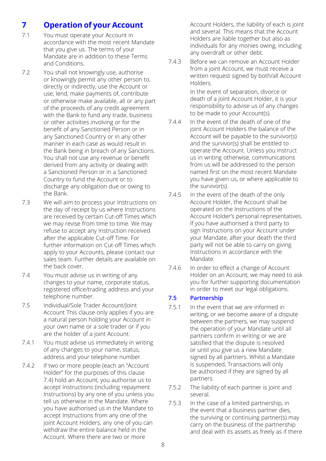# **7 Operation of your Account**

- 7.1 You must operate your Account in accordance with the most recent Mandate that you give us. The terms of your Mandate are in addition to these Terms and Conditions.
- 7.2 You shall not knowingly use, authorise or knowingly permit any other person to, directly or indirectly, use the Account or use, lend, make payments of, contribute or otherwise make available, all or any part of the proceeds of any credit agreement with the Bank to fund any trade, business or other activities involving or for the benefit of any Sanctioned Person or in any Sanctioned Country or in any other manner in each case as would result in the Bank being in breach of any Sanctions. You shall not use any revenue or benefit derived from any activity or dealing with a Sanctioned Person or in a Sanctioned Country to fund the Account or to discharge any obligation due or owing to the Bank.
- 7.3 We will aim to process your Instructions on the day of receipt by us where Instructions are received by certain Cut-off Times which we may revise from time to time. We may refuse to accept any Instruction received after the applicable Cut-off Time. For further information on Cut-off Times which apply to your Accounts, please contact our sales team. Further details are available on the back cover.
- 7.4 You must advise us in writing of any changes to your name, corporate status, registered office/trading address and your telephone number.
- 7.5 Individual/Sole Trader Account/Joint Account This clause only applies if you are a natural person holding your Account in your own name or a sole trader or if you are the holder of a joint Account:
- 7.4.1 You must advise us immediately in writing of any changes to your name, status, address and your telephone number.
- 7.4.2 If two or more people (each an "Account Holder" for the purposes of this clause 7.4) hold an Account, you authorise us to accept Instructions (including repayment Instructions) by any one of you unless you tell us otherwise in the Mandate. Where you have authorised us in the Mandate to accept Instructions from any one of the joint Account Holders, any one of you can withdraw the entire balance held in the Account. Where there are two or more

Account Holders, the liability of each is joint and several. This means that the Account Holders are liable together but also as individuals for any monies owing, including any overdraft or other debt.

7.4.3 Before we can remove an Account Holder from a joint Account, we must receive a written request signed by both/all Account Holders.

> In the event of separation, divorce or death of a joint Account Holder, it is your responsibility to advise us of any changes to be made to your Account(s).

- 7.4.4 In the event of the death of one of the joint Account Holders the balance of the Account will be payable to the survivor(s) and the survivor(s) shall be entitled to operate the Account. Unless you instruct us in writing otherwise, communications from us will be addressed to the person named first on the most recent Mandate you have given us, or where applicable to the survivor(s).
- 7.4.5 In the event of the death of the only Account Holder, the Account shall be operated on the Instructions of the Account Holder's personal representatives. If you have authorised a third party to sign Instructions on your Account under your Mandate, after your death the third party will not be able to carry on giving Instructions in accordance with the Mandate.
- 7.4.6 In order to effect a change of Account Holder on an Account, we may need to ask you for further supporting documentation in order to meet our legal obligations.

#### **7.5 Partnership**

- 7.5.1 In the event that we are informed in writing, or we become aware of a dispute between the partners, we may suspend the operation of your Mandate until all partners confirm in writing or we are satisfied that the dispute is resolved or until you give us a new Mandate signed by all partners. Whilst a Mandate is suspended, Transactions will only be authorised if they are signed by all partners.
- 7.5.2 The liability of each partner is joint and several.
- 7.5.3 In the case of a limited partnership, in the event that a business partner dies, the surviving or continuing partner(s) may carry on the business of the partnership and deal with its assets as freely as if there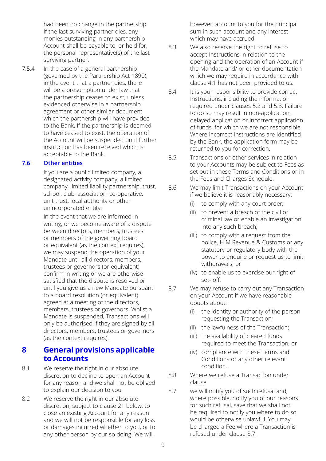had been no change in the partnership. If the last surviving partner dies, any monies outstanding in any partnership Account shall be payable to, or held for, the personal representative(s) of the last surviving partner.

7.5.4 In the case of a general partnership (governed by the Partnership Act 1890), in the event that a partner dies, there will be a presumption under law that the partnership ceases to exist, unless evidenced otherwise in a partnership agreement or other similar document which the partnership will have provided to the Bank. If the partnership is deemed to have ceased to exist, the operation of the Account will be suspended until further instruction has been received which is acceptable to the Bank.

#### **7.6 Other entities**

If you are a public limited company, a designated activity company, a limited company, limited liability partnership, trust, school, club, association, co-operative, unit trust, local authority or other unincorporated entity:

In the event that we are informed in writing, or we become aware of a dispute between directors, members, trustees or members of the governing board or equivalent (as the context requires), we may suspend the operation of your Mandate until all directors, members, trustees or governors (or equivalent) confirm in writing or we are otherwise satisfied that the dispute is resolved or until you give us a new Mandate pursuant to a board resolution (or equivalent) agreed at a meeting of the directors, members, trustees or governors. Whilst a Mandate is suspended, Transactions will only be authorised if they are signed by all directors, members, trustees or governors (as the context requires).

# **8 General provisions applicable to Accounts**

- 8.1 We reserve the right in our absolute discretion to decline to open an Account for any reason and we shall not be obliged to explain our decision to you.
- 8.2 We reserve the right in our absolute discretion, subject to clause 21 below, to close an existing Account for any reason and we will not be responsible for any loss or damages incurred whether to you, or to any other person by our so doing. We will,

however, account to you for the principal sum in such account and any interest which may have accrued.

- 8.3 We also reserve the right to refuse to accept Instructions in relation to the opening and the operation of an Account if the Mandate and/ or other documentation which we may require in accordance with clause 4.1 has not been provided to us.
- 8.4 It is your responsibility to provide correct Instructions, including the information required under clauses 5.2 and 5.3. Failure to do so may result in non-application, delayed application or incorrect application of funds, for which we are not responsible. Where incorrect Instructions are identified by the Bank, the application form may be returned to you for correction.
- 8.5 Transactions or other services in relation to your Accounts may be subject to Fees as set out in these Terms and Conditions or in the Fees and Charges Schedule.
- 8.6 We may limit Transactions on your Account if we believe it is reasonably necessary:
	- (i) to comply with any court order;
	- (ii) to prevent a breach of the civil or criminal law or enable an investigation into any such breach;
	- (iii) to comply with a request from the police, H M Revenue & Customs or any statutory or regulatory body with the power to enquire or request us to limit withdrawals; or
	- (iv) to enable us to exercise our right of set- off.
- 8.7 We may refuse to carry out any Transaction on your Account if we have reasonable doubts about:
	- (i) the identity or authority of the person requesting the Transaction;
	- (ii) the lawfulness of the Transaction;
	- (iii) the availability of cleared funds required to meet the Transaction; or
	- (iv) compliance with these Terms and Conditions or any other relevant condition.
- 8.8 Where we refuse a Transaction under clause
- 8.7 we will notify you of such refusal and, where possible, notify you of our reasons for such refusal, save that we shall not be required to notify you where to do so would be otherwise unlawful. You may be charged a Fee where a Transaction is refused under clause 8.7.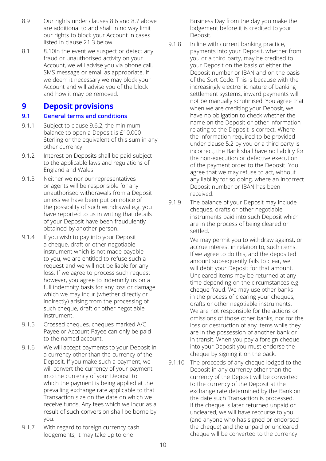- 8.9 Our rights under clauses 8.6 and 8.7 above are additional to and shall in no way limit our rights to block your Account in cases listed in clause 21.3 below.
- 8.1 8.10In the event we suspect or detect any fraud or unauthorised activity on your Account, we will advise you via phone call, SMS message or email as appropriate. If we deem it necessary we may block your Account and will advise you of the block and how it may be removed.

# **9 Deposit provisions**

## **9.1 General terms and conditions**

- 9.1.1 Subject to clause 9.6.2, the minimum balance to open a Deposit is £10,000 Sterling or the equivalent of this sum in any other currency.
- 9.1.2 Interest on Deposits shall be paid subject to the applicable laws and regulations of England and Wales.
- 9.1.3 Neither we nor our representatives or agents will be responsible for any unauthorised withdrawals from a Deposit unless we have been put on notice of the possibility of such withdrawal e.g. you have reported to us in writing that details of your Deposit have been fraudulently obtained by another person.
- 9.1.4 If you wish to pay into your Deposit a cheque, draft or other negotiable instrument which is not made payable to you, we are entitled to refuse such a request and we will not be liable for any loss. If we agree to process such request however, you agree to indemnify us on a full indemnity basis for any loss or damage which we may incur (whether directly or indirectly) arising from the processing of such cheque, draft or other negotiable instrument.
- 9.1.5 Crossed cheques, cheques marked A/C Payee or Account Payee can only be paid to the named account.
- 9.1.6 We will accept payments to your Deposit in a currency other than the currency of the Deposit. If you make such a payment, we will convert the currency of your payment into the currency of your Deposit to which the payment is being applied at the prevailing exchange rate applicable to that Transaction size on the date on which we receive funds. Any fees which we incur as a result of such conversion shall be borne by you.
- 9.1.7 With regard to foreign currency cash lodgements, it may take up to one

Business Day from the day you make the lodgement before it is credited to your Deposit.

- 9.1.8 In line with current banking practice, payments into your Deposit, whether from you or a third party, may be credited to your Deposit on the basis of either the Deposit number or IBAN and on the basis of the Sort Code. This is because with the increasingly electronic nature of banking settlement systems, inward payments will not be manually scrutinised. You agree that when we are crediting your Deposit, we have no obligation to check whether the name on the Deposit or other information relating to the Deposit is correct. Where the information required to be provided under clause 5.2 by you or a third party is incorrect, the Bank shall have no liability for the non-execution or defective execution of the payment order to the Deposit. You agree that we may refuse to act, without any liability for so doing, where an incorrect Deposit number or IBAN has been received.
- 9.1.9 The balance of your Deposit may include cheques, drafts or other negotiable instruments paid into such Deposit which are in the process of being cleared or settled.

We may permit you to withdraw against, or accrue interest in relation to, such items. If we agree to do this, and the deposited amount subsequently fails to clear, we will debit your Deposit for that amount. Uncleared items may be returned at any time depending on the circumstances e.g. cheque fraud. We may use other banks in the process of clearing your cheques, drafts or other negotiable instruments. We are not responsible for the actions or omissions of those other banks, nor for the loss or destruction of any items while they are in the possession of another bank or in transit. When you pay a foreign cheque into your Deposit you must endorse the cheque by signing it on the back.

9.1.10 The proceeds of any cheque lodged to the Deposit in any currency other than the currency of the Deposit will be converted to the currency of the Deposit at the exchange rate determined by the Bank on the date such Transaction is processed. If the cheque is later returned unpaid or uncleared, we will have recourse to you (and anyone who has signed or endorsed the cheque) and the unpaid or uncleared cheque will be converted to the currency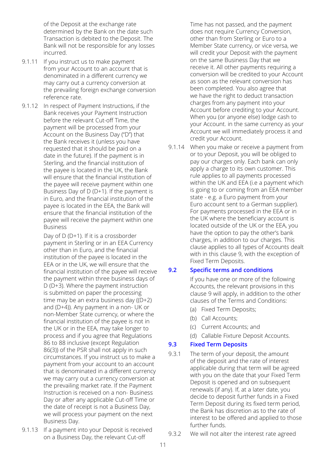of the Deposit at the exchange rate determined by the Bank on the date such Transaction is debited to the Deposit. The Bank will not be responsible for any losses incurred.

- 9.1.11 If you instruct us to make payment from your Account to an account that is denominated in a different currency we may carry out a currency conversion at the prevailing foreign exchange conversion reference rate.
- 9.1.12 In respect of Payment Instructions, if the Bank receives your Payment Instruction before the relevant Cut-off Time, the payment will be processed from your Account on the Business Day ("D") that the Bank receives it (unless you have requested that it should be paid on a date in the future). If the payment is in Sterling, and the financial institution of the payee is located in the UK, the Bank will ensure that the financial institution of the payee will receive payment within one Business Day of D (D+1). If the payment is in Euro, and the financial institution of the payee is located in the EEA, the Bank will ensure that the financial institution of the payee will receive the payment within one Business

Day of D (D+1). If it is a crossborder payment in Sterling or in an EEA Currency other than in Euro, and the financial institution of the payee is located in the EEA or in the UK, we will ensure that the financial institution of the payee will receive the payment within three business days of D (D+3). Where the payment instruction is submitted on paper the processing time may be an extra business day ((D+2) and (D+4)). Any payment in a non- UK or non-Member State currency, or where the financial institution of the payee is not in the UK or in the EEA, may take longer to process and if you agree that Regulations 86 to 88 inclusive (except Regulation 86(3)) of the PSR shall not apply in such circumstances. If you instruct us to make a payment from your account to an account that is denominated in a different currency we may carry out a currency conversion at the prevailing market rate. If the Payment Instruction is received on a non- Business Day or after any applicable Cut-off Time or the date of receipt is not a Business Day, we will process your payment on the next Business Day.

9.1.13 If a payment into your Deposit is received on a Business Day, the relevant Cut-off

Time has not passed, and the payment does not require Currency Conversion, other than from Sterling or Euro to a Member State currency, or vice versa, we will credit your Deposit with the payment on the same Business Day that we receive it. All other payments requiring a conversion will be credited to your Account as soon as the relevant conversion has been completed. You also agree that we have the right to deduct transaction charges from any payment into your Account before crediting to your Account. When you (or anyone else) lodge cash to your Account. in the same currency as your Account we will immediately process it and credit your Account.

9.1.14 When you make or receive a payment from or to your Deposit, you will be obliged to pay our charges only. Each bank can only apply a charge to its own customer. This rule applies to all payments processed within the UK and EEA (i.e a payment which is going to or coming from an EEA member state - e.g. a Euro payment from your Euro account sent to a German supplier). For payments processed in the EEA or in the UK where the beneficiary account is located outside of the UK or the EEA, you have the option to pay the other's bank charges, in addition to our charges. This clause applies to all types of Accounts dealt with in this clause 9, with the exception of Fixed Term Deposits.

#### **9.2 Specific terms and conditions**

If you have one or more of the following Accounts, the relevant provisions in this clause 9 will apply, in addition to the other clauses of the Terms and Conditions:

- (a) Fixed Term Deposits;
- (b) Call Accounts;
- (c) Current Accounts; and
- (d) Callable Fixture Deposit Accounts.

#### **9.3 Fixed Term Deposits**

- 9.3.1 The term of your deposit, the amount of the deposit and the rate of interest applicable during that term will be agreed with you on the date that your Fixed Term Deposit is opened and on subsequent renewals (if any). If, at a later date, you decide to deposit further funds in a Fixed Term Deposit during its fixed term period, the Bank has discretion as to the rate of interest to be offered and applied to those further funds.
- 9.3.2 We will not alter the interest rate agreed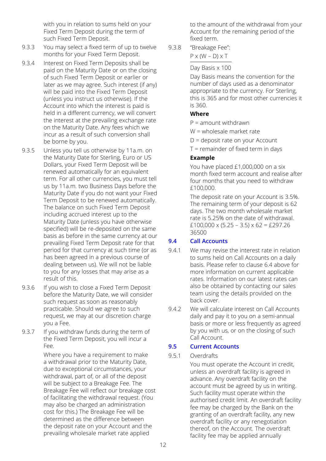with you in relation to sums held on your Fixed Term Deposit during the term of such Fixed Term Deposit.

- 9.3.3 You may select a fixed term of up to twelve months for your Fixed Term Deposit.
- 9.3.4 Interest on Fixed Term Deposits shall be paid on the Maturity Date or on the closing of such Fixed Term Deposit or earlier or later as we may agree. Such interest (if any) will be paid into the Fixed Term Deposit (unless you instruct us otherwise). If the Account into which the interest is paid is held in a different currency, we will convert the interest at the prevailing exchange rate on the Maturity Date. Any fees which we incur as a result of such conversion shall be borne by you.
- 9.3.5 Unless you tell us otherwise by 11a.m. on the Maturity Date for Sterling, Euro or US Dollars, your Fixed Term Deposit will be renewed automatically for an equivalent term. For all other currencies, you must tell us by 11a.m. two Business Days before the Maturity Date if you do not want your Fixed Term Deposit to be renewed automatically. The balance on such Fixed Term Deposit including accrued interest up to the Maturity Date (unless you have otherwise specified) will be re-deposited on the same basis as before in the same currency at our prevailing Fixed Term Deposit rate for that period for that currency at such time (or as has been agreed in a previous course of dealing between us). We will not be liable to you for any losses that may arise as a result of this.
- 9.3.6 If you wish to close a Fixed Term Deposit before the Maturity Date, we will consider such request as soon as reasonably practicable. Should we agree to such request, we may at our discretion charge you a Fee.
- 9.3.7 If you withdraw funds during the term of the Fixed Term Deposit, you will incur a Fee.

Where you have a requirement to make a withdrawal prior to the Maturity Date, due to exceptional circumstances, your withdrawal, part of, or all of the deposit will be subject to a Breakage Fee. The Breakage Fee will reflect our breakage cost of facilitating the withdrawal request. (You may also be charged an administration cost for this.) The Breakage Fee will be determined as the difference between the deposit rate on your Account and the prevailing wholesale market rate applied

to the amount of the withdrawal from your Account for the remaining period of the fixed term.

9.3.8 "Breakage Fee":

 $P \times (W - D) \times T$ 

#### Day Basis x 100

Day Basis means the convention for the number of days used as a denominator appropriate to the currency. For Sterling, this is 365 and for most other currencies it is 360.

## **Where**

P = amount withdrawn

- W = wholesale market rate
- D = deposit rate on your Account
- T = remainder of fixed term in days

## **Example**

You have placed £1,000,000 on a six month fixed term account and realise after four months that you need to withdraw £100,000.

The deposit rate on your Account is 3.5%. The remaining term of your deposit is 62 days. The two month wholesale market rate is 5.25% on the date of withdrawal. £100,000 x (5.25 – 3.5) x 62 = £297.26 36500

## **9.4 Call Accounts**

- 9.4.1 We may revise the interest rate in relation to sums held on Call Accounts on a daily basis. Please refer to clause 6.4 above for more information on current applicable rates. Information on our latest rates can also be obtained by contacting our sales team using the details provided on the back cover.
- 9.4.2 We will calculate interest on Call Accounts daily and pay it to you on a semi-annual basis or more or less frequently as agreed by you with us, or on the closing of such Call Account.

## **9.5 Current Accounts**

9.5.1 Overdrafts

You must operate the Account in credit, unless an overdraft facility is agreed in advance. Any overdraft facility on the account must be agreed by us in writing. Such facility must operate within the authorised credit limit. An overdraft facility fee may be charged by the Bank on the granting of an overdraft facility, any new overdraft facility or any renegotiation thereof, on the Account. The overdraft facility fee may be applied annually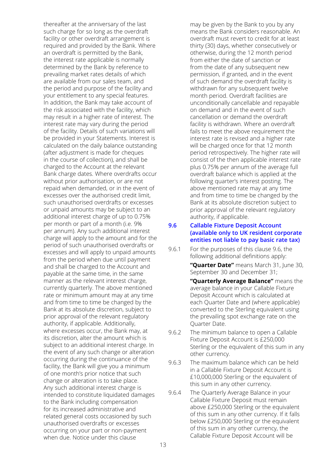thereafter at the anniversary of the last such charge for so long as the overdraft facility or other overdraft arrangement is required and provided by the Bank. Where an overdraft is permitted by the Bank, the interest rate applicable is normally determined by the Bank by reference to prevailing market rates details of which are available from our sales team, and the period and purpose of the facility and your entitlement to any special features. In addition, the Bank may take account of the risk associated with the facility, which may result in a higher rate of interest. The interest rate may vary during the period of the facility. Details of such variations will be provided in your Statements. Interest is calculated on the daily balance outstanding (after adjustment is made for cheques in the course of collection), and shall be charged to the Account at the relevant Bank charge dates. Where overdrafts occur without prior authorisation, or are not repaid when demanded, or in the event of excesses over the authorised credit limit, such unauthorised overdrafts or excesses or unpaid amounts may be subject to an additional interest charge of up to 0.75% per month or part of a month (i.e. 9% per annum). Any such additional interest charge will apply to the amount and for the period of such unauthorised overdrafts or excesses and will apply to unpaid amounts from the period when due until payment and shall be charged to the Account and payable at the same time, in the same manner as the relevant interest charge, currently quarterly. The above mentioned rate or minimum amount may at any time and from time to time be changed by the Bank at its absolute discretion, subject to prior approval of the relevant regulatory authority, if applicable. Additionally, where excesses occur, the Bank may, at its discretion, alter the amount which is subject to an additional interest charge. In the event of any such change or alteration occurring during the continuance of the facility, the Bank will give you a minimum of one month's prior notice that such change or alteration is to take place. Any such additional interest charge is intended to constitute liquidated damages to the Bank including compensation for its increased administrative and related general costs occasioned by such unauthorised overdrafts or excesses occurring on your part or non-payment when due. Notice under this clause

may be given by the Bank to you by any means the Bank considers reasonable. An overdraft must revert to credit for at least thirty (30) days, whether consecutively or otherwise, during the 12 month period from either the date of sanction or from the date of any subsequent new permission, if granted, and in the event of such demand the overdraft facility is withdrawn for any subsequent twelve month period. Overdraft facilities are unconditionally cancellable and repayable on demand and in the event of such cancellation or demand the overdraft facility is withdrawn. Where an overdraft fails to meet the above requirement the interest rate is revised and a higher rate will be charged once for that 12 month period retrospectively. The higher rate will consist of the then applicable interest rate plus 0.75% per annum of the average full overdraft balance which is applied at the following quarter's interest posting. The above mentioned rate may at any time and from time to time be changed by the Bank at its absolute discretion subject to prior approval of the relevant regulatory authority, if applicable.

#### **9.6 Callable Fixture Deposit Account (available only to UK resident corporate entities not liable to pay basic rate tax)**

9.6.1 For the purposes of this clause 9.6, the following additional definitions apply:

> **"Quarter Date"** means March 31, June 30, September 30 and December 31;

**"Quarterly Average Balance"** means the average balance in your Callable Fixture Deposit Account which is calculated at each Quarter Date and (where applicable) converted to the Sterling equivalent using the prevailing spot exchange rate on the Quarter Date.

- 9.6.2 The minimum balance to open a Callable Fixture Deposit Account is £250,000 Sterling or the equivalent of this sum in any other currency.
- 9.6.3 The maximum balance which can be held in a Callable Fixture Deposit Account is £10,000,000 Sterling or the equivalent of this sum in any other currency.
- 9.6.4 The Quarterly Average Balance in your Callable Fixture Deposit must remain above £250,000 Sterling or the equivalent of this sum in any other currency. If it falls below £250,000 Sterling or the equivalent of this sum in any other currency, the Callable Fixture Deposit Account will be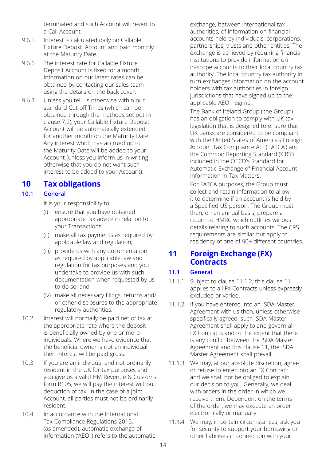terminated and such Account will revert to a Call Account.

- 9.6.5 Interest is calculated daily on Callable Fixture Deposit Account and paid monthly at the Maturity Date.
- 9.6.6 The interest rate for Callable Fixture Deposit Account is fixed for a month. Information on our latest rates can be obtained by contacting our sales team using the details on the back cover.
- 9.6.7 Unless you tell us otherwise within our standard Cut-off Times (which can be obtained through the methods set out in clause 7.2), your Callable Fixture Deposit Account will be automatically extended for another month on the Maturity Date. Any interest which has accrued up to the Maturity Date will be added to your Account (unless you inform us in writing otherwise that you do not want such interest to be added to your Account).

# **10 Tax obligations**

## **10.1 General**

It is your responsibility to:

- (i) ensure that you have obtained appropriate tax advice in relation to your Transactions;
- (ii) make all tax payments as required by applicable law and regulation;
- (iii) provide us with any documentation as required by applicable law and regulation for tax purposes and you undertake to provide us with such documentation when requested by us to do so; and
- (iv) make all necessary filings, returns and/ or other disclosures to the appropriate regulatory authorities.
- 10.2 Interest will normally be paid net of tax at the appropriate rate where the deposit is beneficially owned by one or more individuals. Where we have evidence that the beneficial owner is not an individual then interest will be paid gross.
- 10.3 If you are an individual and not ordinarily resident in the UK for tax purposes and you give us a valid HM Revenue & Customs form R105, we will pay the interest without deduction of tax. In the case of a joint Account, all parties must not be ordinarily resident.
- 10.4 In accordance with the International Tax Compliance Regulations 2015, (as amended), automatic exchange of information ('AEOI') refers to the automatic

exchange, between international tax authorities, of information on financial accounts held by individuals, corporations, partnerships, trusts and other entities. The exchange is achieved by requiring financial institutions to provide information on in-scope accounts to their local country tax authority. The local country tax authority in turn exchanges information on the account holders with tax authorities in foreign jurisdictions that have signed up to the applicable AEOI regime.

The Bank of Ireland Group ('the Group') has an obligation to comply with UK tax legislation that is designed to ensure that UK banks are considered to be compliant with the United States of America's Foreign Account Tax Compliance Act ('FATCA') and the Common Reporting Standard ('CRS') included in the OECD's Standard for Automatic Exchange of Financial Account Information in Tax Matters.

For FATCA purposes, the Group must collect and retain information to allow it to determine if an account is held by a Specified US person. The Group must then, on an annual basis, prepare a return to HMRC which outlines various details relating to such accounts. The CRS requirements are similar but apply to residency of one of 90+ different countries.

# **11 Foreign Exchange (FX) Contracts**

# **11.1 General**

- 11.1.1 Subject to clause 11.1.2, this clause 11 applies to all FX Contracts unless expressly excluded or varied.
- 11.1.2 If you have entered into an ISDA Master Agreement with us then, unless otherwise specifically agreed, such ISDA Master Agreement shall apply to and govern all FX Contracts and to the extent that there is any conflict between the ISDA Master Agreement and this clause 11, the ISDA Master Agreement shall prevail.
- 11.1.3 We may, at our absolute discretion, agree or refuse to enter into an FX Contract and we shall not be obliged to explain our decision to you. Generally, we deal with orders in the order in which we receive them. Dependent on the terms of the order, we may execute an order electronically or manually.
- 11.1.4 We may, in certain circumstances, ask you for security to support your borrowing or other liabilities in connection with your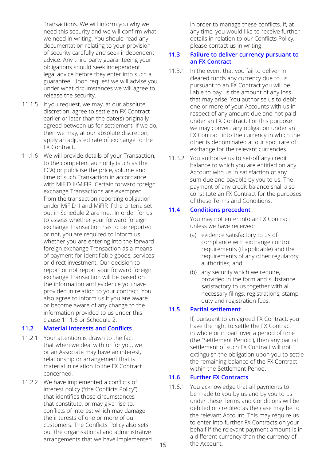Transactions. We will inform you why we need this security and we will confirm what we need in writing. You should read any documentation relating to your provision of security carefully and seek independent advice. Any third party guaranteeing your obligations should seek independent legal advice before they enter into such a guarantee. Upon request we will advise you under what circumstances we will agree to release the security.

- 11.1.5 If you request, we may, at our absolute discretion, agree to settle an FX Contract earlier or later than the date(s) originally agreed between us for settlement. If we do, then we may, at our absolute discretion, apply an adjusted rate of exchange to the FX Contract.
- 11.1.6 We will provide details of your Transaction, to the competent authority (such as the FCA) or publicise the price, volume and time of such Transaction in accordance with MiFID II/MiFIR. Certain forward foreign exchange Transactions are exempted from the transaction reporting obligation under MiFID II and MiFIR if the criteria set out in Schedule 2 are met. In order for us to assess whether your forward foreign exchange Transaction has to be reported or not, you are required to inform us whether you are entering into the forward foreign exchange Transaction as a means of payment for identifiable goods, services or direct investment. Our decision to report or not report your forward foreign exchange Transaction will be based on the information and evidence you have provided in relation to your contract. You also agree to inform us if you are aware or become aware of any change to the information provided to us under this clause 11.1.6 or Schedule 2.

#### **11.2 Material Interests and Conflicts**

- 11.2.1 Your attention is drawn to the fact that when we deal with or for you, we or an Associate may have an interest, relationship or arrangement that is material in relation to the FX Contract concerned.
- 11.2.2 We have implemented a conflicts of interest policy ("the Conflicts Policy") that identifies those circumstances that constitute, or may give rise to, conflicts of interest which may damage the interests of one or more of our customers. The Conflicts Policy also sets out the organisational and administrative arrangements that we have implemented

in order to manage these conflicts. If, at any time, you would like to receive further details in relation to our Conflicts Policy, please contact us in writing.

#### **11.3 Failure to deliver currency pursuant to an FX Contract**

- 11.3.1 In the event that you fail to deliver in cleared funds any currency due to us pursuant to an FX Contract you will be liable to pay us the amount of any loss that may arise. You authorise us to debit one or more of your Accounts with us in respect of any amount due and not paid under an FX Contract. For this purpose we may convert any obligation under an FX Contract into the currency in which the other is denominated at our spot rate of exchange for the relevant currencies.
- 11.3.2 You authorise us to set-off any credit balance to which you are entitled on any Account with us in satisfaction of any sum due and payable by you to us. The payment of any credit balance shall also constitute an FX Contract for the purposes of these Terms and Conditions.

## **11.4 Conditions precedent**

You may not enter into an FX Contract unless we have received:

- (a) evidence satisfactory to us of compliance with exchange control requirements (if applicable) and the requirements of any other regulatory authorities; and
- (b) any security which we require, provided in the form and substance satisfactory to us together with all necessary filings, registrations, stamp duty and registration fees.

#### **11.5 Partial settlement**

If, pursuant to an agreed FX Contract, you have the right to settle the FX Contract in whole or in part over a period of time (the "Settlement Period"), then any partial settlement of such FX Contract will not extinguish the obligation upon you to settle the remaining balance of the FX Contract within the Settlement Period.

#### **11.6 Further FX Contracts**

11.6.1 You acknowledge that all payments to be made to you by us and by you to us under these Terms and Conditions will be debited or credited as the case may be to the relevant Account. This may require us to enter into further FX Contracts on your behalf if the relevant payment amount is in a different currency than the currency of the Account.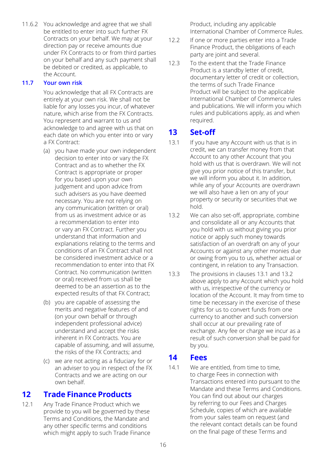11.6.2 You acknowledge and agree that we shall be entitled to enter into such further FX Contracts on your behalf. We may at your direction pay or receive amounts due under FX Contracts to or from third parties on your behalf and any such payment shall be debited or credited, as applicable, to the Account.

#### **11.7 Your own risk**

You acknowledge that all FX Contracts are entirely at your own risk. We shall not be liable for any losses you incur, of whatever nature, which arise from the FX Contracts. You represent and warrant to us and acknowledge to and agree with us that on each date on which you enter into or vary a FX Contract:

- (a) you have made your own independent decision to enter into or vary the FX Contract and as to whether the FX Contract is appropriate or proper for you based upon your own judgement and upon advice from such advisers as you have deemed necessary. You are not relying on any communication (written or oral) from us as investment advice or as a recommendation to enter into or vary an FX Contract. Further you understand that information and explanations relating to the terms and conditions of an FX Contract shall not be considered investment advice or a recommendation to enter into that FX Contract. No communication (written or oral) received from us shall be deemed to be an assertion as to the expected results of that FX Contract;
- (b) you are capable of assessing the merits and negative features of and (on your own behalf or through independent professional advice) understand and accept the risks inherent in FX Contracts. You are capable of assuming, and will assume, the risks of the FX Contracts; and
- (c) we are not acting as a fiduciary for or an adviser to you in respect of the FX Contracts and we are acting on our own behalf.

# **12 Trade Finance Products**

12.1 Any Trade Finance Product which we provide to you will be governed by these Terms and Conditions, the Mandate and any other specific terms and conditions which might apply to such Trade Finance Product, including any applicable International Chamber of Commerce Rules.

- 12.2 If one or more parties enter into a Trade Finance Product, the obligations of each party are joint and several.
- 12.3 To the extent that the Trade Finance Product is a standby letter of credit, documentary letter of credit or collection, the terms of such Trade Finance Product will be subject to the applicable International Chamber of Commerce rules and publications. We will inform you which rules and publications apply, as and when required.

# **13 Set-off**

- 13.1 If you have any Account with us that is in credit, we can transfer money from that Account to any other Account that you hold with us that is overdrawn. We will not give you prior notice of this transfer, but we will inform you about it. In addition, while any of your Accounts are overdrawn we will also have a lien on any of your property or security or securities that we hold.
- 13.2 We can also set-off, appropriate, combine and consolidate all or any Accounts that you hold with us without giving you prior notice or apply such money towards satisfaction of an overdraft on any of your Accounts or against any other monies due or owing from you to us, whether actual or contingent, in relation to any Transaction.
- 13.3 The provisions in clauses 13.1 and 13.2 above apply to any Account which you hold with us, irrespective of the currency or location of the Account. It may from time to time be necessary in the exercise of these rights for us to convert funds from one currency to another and such conversion shall occur at our prevailing rate of exchange. Any fee or charge we incur as a result of such conversion shall be paid for by you.

# **14 Fees**

14.1 We are entitled, from time to time, to charge Fees in connection with Transactions entered into pursuant to the Mandate and these Terms and Conditions. You can find out about our charges by referring to our Fees and Charges Schedule, copies of which are available from your sales team on request (and the relevant contact details can be found on the final page of these Terms and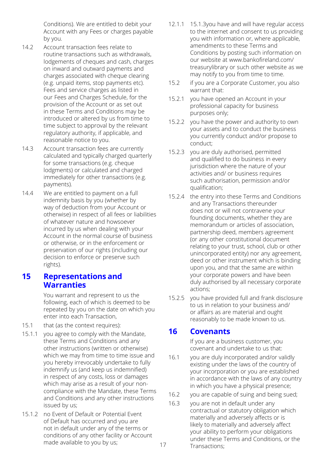Conditions). We are entitled to debit your Account with any Fees or charges payable by you.

- 14.2 Account transaction fees relate to routine transactions such as withdrawals, lodgements of cheques and cash, charges on inward and outward payments and charges associated with cheque clearing (e.g. unpaid items, stop payments etc). Fees and service charges as listed in our Fees and Charges Schedule, for the provision of the Account or as set out in these Terms and Conditions may be introduced or altered by us from time to time subject to approval by the relevant regulatory authority, if applicable, and reasonable notice to you.
- 14.3 Account transaction fees are currently calculated and typically charged quarterly for some transactions (e.g. cheque lodgments) or calculated and charged immediately for other transactions (e.g. payments).
- 14.4 We are entitled to payment on a full indemnity basis by you (whether by way of deduction from your Account or otherwise) in respect of all fees or liabilities of whatever nature and howsoever incurred by us when dealing with your Account in the normal course of business or otherwise, or in the enforcement or preservation of our rights (including our decision to enforce or preserve such rights).

# **15 Representations and Warranties**

You warrant and represent to us the following, each of which is deemed to be repeated by you on the date on which you enter into each Transaction,

- 15.1 that (as the context requires):
- 15.1.1 you agree to comply with the Mandate, these Terms and Conditions and any other instructions (written or otherwise) which we may from time to time issue and you hereby irrevocably undertake to fully indemnify us (and keep us indemnified) in respect of any costs, loss or damages which may arise as a result of your noncompliance with the Mandate, these Terms and Conditions and any other instructions issued by us;
- 15.1.2 no Event of Default or Potential Event of Default has occurred and you are not in default under any of the terms or conditions of any other facility or Account made available to you by us;
- 12.1.1 15.1.3you have and will have regular access to the internet and consent to us providing you with information or, where applicable, amendments to these Terms and Conditions by posting such information on our website at www.bankofireland.com/ [treasurylibrary or such other website as we](www.bankofireland.com/treasurylibrary) may notify to you from time to time.
- 15.2 if you are a Corporate Customer, you also warrant that:
- 15.2.1 you have opened an Account in your professional capacity for business purposes only;
- 15.2.2 you have the power and authority to own your assets and to conduct the business you currently conduct and/or propose to conduct;
- 15.2.3 you are duly authorised, permitted and qualified to do business in every jurisdiction where the nature of your activities and/ or business requires such authorisation, permission and/or qualification;
- 15.2.4 the entry into these Terms and Conditions and any Transactions thereunder does not or will not contravene your founding documents, whether they are memorandum or articles of association, partnership deed, members agreement (or any other constitutional document relating to your trust, school, club or other unincorporated entity) nor any agreement, deed or other instrument which is binding upon you, and that the same are within your corporate powers and have been duly authorised by all necessary corporate actions;
- 15.2.5 you have provided full and frank disclosure to us in relation to your business and/ or affairs as are material and ought reasonably to be made known to us.

# **16 Covenants**

If you are a business customer, you covenant and undertake to us that:

- 16.1 you are duly incorporated and/or validly existing under the laws of the country of your incorporation or you are established in accordance with the laws of any country in which you have a physical presence;
- 16.2 you are capable of suing and being sued;
- 16.3 you are not in default under any contractual or statutory obligation which materially and adversely affects or is likely to materially and adversely affect your ability to perform your obligations under these Terms and Conditions, or the Transactions;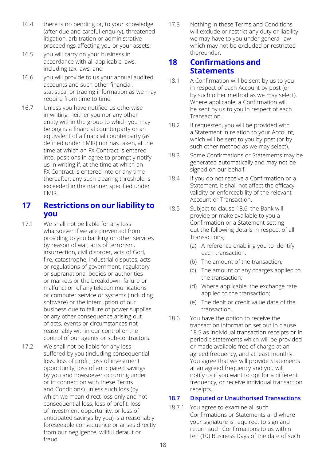- 16.4 there is no pending or, to your knowledge (after due and careful enquiry), threatened litigation, arbitration or administrative proceedings affecting you or your assets;
- 16.5 you will carry on your business in accordance with all applicable laws, including tax laws; and
- 16.6 you will provide to us your annual audited accounts and such other financial, statistical or trading information as we may require from time to time.
- 16.7 Unless you have notified us otherwise in writing, neither you nor any other entity within the group to which you may belong is a financial counterparty or an equivalent of a financial counterparty (as defined under EMIR) nor has taken, at the time at which an FX Contract is entered into, positions in agree to promptly notify us in writing if, at the time at which an FX Contract is entered into or any time thereafter, any such clearing threshold is exceeded in the manner specified under EMIR.

# **17 Restrictions on our liability to you**

- 17.1 We shall not be liable for any loss whatsoever if we are prevented from providing to you banking or other services by reason of war, acts of terrorism, insurrection, civil disorder, acts of God, fire, catastrophe, industrial disputes, acts or regulations of government, regulatory or supranational bodies or authorities or markets or the breakdown, failure or malfunction of any telecommunications or computer service or systems (including software) or the interruption of our business due to failure of power supplies, or any other consequence arising out of acts, events or circumstances not reasonably within our control or the control of our agents or sub-contractors.
- 17.2 We shall not be liable for any loss suffered by you (including consequential loss, loss of profit, loss of investment opportunity, loss of anticipated savings by you and howsoever occurring under or in connection with these Terms and Conditions) unless such loss (by which we mean direct loss only and not consequential loss, loss of profit, loss of investment opportunity, or loss of anticipated savings by you) is a reasonably foreseeable consequence or arises directly from our negligence, willful default or fraud.

17.3 Nothing in these Terms and Conditions will exclude or restrict any duty or liability we may have to you under general law which may not be excluded or restricted thereunder.

# **18 Confirmations and Statements**

- 18.1 A Confirmation will be sent by us to you in respect of each Account by post (or by such other method as we may select). Where applicable, a Confirmation will be sent by us to you in respect of each Transaction.
- 18.2 If requested, you will be provided with a Statement in relation to your Account, which will be sent to you by post (or by such other method as we may select).
- 18.3 Some Confirmations or Statements may be generated automatically and may not be signed on our behalf.
- 18.4 If you do not receive a Confirmation or a Statement, it shall not affect the efficacy, validity or enforceability of the relevant Account or Transaction.
- 18.5 Subject to clause 18.6, the Bank will provide or make available to you a Confirmation or a Statement setting out the following details in respect of all Transactions;
	- (a) A reference enabling you to identify each transaction;
	- (b) The amount of the transaction;
	- (c) The amount of any charges applied to the transaction;
	- (d) Where applicable, the exchange rate applied to the transaction;
	- (e) The debit or credit value date of the transaction.
- 18.6 You have the option to receive the transaction information set out in clause 18.5 as individual transaction receipts or in periodic statements which will be provided or made available free of charge at an agreed frequency, and at least monthly. You agree that we will provide Statements at an agreed frequency and you will notify us if you want to opt for a different frequency, or receive individual transaction receipts.

#### **18.7 Disputed or Unauthorised Transactions**

18.7.1 You agree to examine all such Confirmations or Statements and where your signature is required, to sign and return such Confirmations to us within ten (10) Business Days of the date of such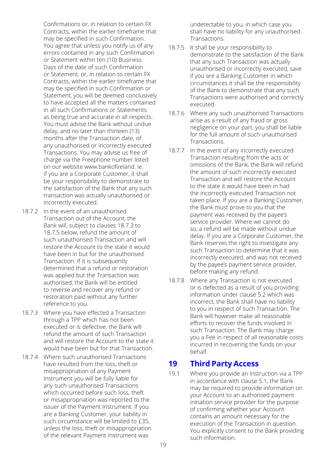Confirmations or, in relation to certain FX Contracts, within the earlier timeframe that may be specified in such Confirmation. You agree that unless you notify us of any errors contained in any such Confirmation or Statement within ten (10) Business Days of the date of such Confirmation or Statement, or, in relation to certain FX Contracts, within the earlier timeframe that may be specified in such Confirmation or Statement, you will be deemed conclusively to have accepted all the matters contained in all such Confirmations or Statements as being true and accurate in all respects. You must advise the Bank without undue delay, and no later than thirteen (13) months after the Transaction date, of any unauthorised or incorrectly executed Transactions. You may advise us free of charge via the Freephone number listed on our website www.bankofireland. ie. If you are a Corporate Customer, it shall be your responsibility to demonstrate to the satisfaction of the Bank that any such transaction was actually unauthorised or incorrectly executed.

- 18.7.2 In the event of an unauthorised Transaction out of the Account, the Bank will, subject to clauses 18.7.3 to 18.7.5 below, refund the amount of such unauthorised Transaction and will restore the Account to the state it would have been in but for the unauthorised Transaction. If it is subsequently determined that a refund or restoration was applied but the Transaction was authorised, the Bank will be entitled to reverse and recover any refund or restoration paid without any further reference to you.
- 18.7.3 Where you have effected a Transaction through a TPP which has not been executed or is defective, the Bank will refund the amount of such Transaction and will restore the Account to the state it would have been but for that Transaction.
- 18.7.4 Where such unauthorised Transactions have resulted from the loss, theft or misappropriation of any Payment Instrument you will be fully liable for any such unauthorised Transactions which occurred before such loss, theft or misappropriation was reported to the issuer of the Payment Instrument. If you are a Banking Customer, your liability in such circumstance will be limited to £35, unless the loss, theft or misappropriation of the relevant Payment Instrument was

undetectable to you, in which case you shall have no liability for any unauthorised Transactions.

- 18.7.5 It shall be your responsibility to demonstrate to the satisfaction of the Bank that any such Transaction was actually unauthorised or incorrectly executed, save if you are a Banking Customer in which circumstances it shall be the responsibility of the Bank to demonstrate that any such Transactions were authorised and correctly executed.
- 18.7.6 Where any such unauthorised Transactions arise as a result of any fraud or gross negligence on your part, you shall be liable for the full amount of such unauthorised Transactions.
- 18.7.7 In the event of any incorrectly executed Transaction resulting from the acts or omissions of the Bank, the Bank will refund the amount of such incorrectly executed Transaction and will restore the Account to the state it would have been in had the incorrectly executed Transaction not taken place. If you are a Banking Customer, the Bank must prove to you that the payment was received by the payee's service provider. Where we cannot do so, a refund will be made without undue delay. If you are a Corporate Customer, the Bank reserves the right to investigate any such Transaction to determine that it was incorrectly executed, and was not received by the payee's payment service provider, before making any refund.
- 18.7.8 Where any Transaction is not executed or is defected as a result of you providing information under clause 5.2 which was incorrect, the Bank shall have no liability to you in respect of such Transaction. The Bank will however make all reasonable efforts to recover the funds involved in such Transaction. The Bank may charge you a Fee in respect of all reasonable costs incurred in recovering the funds on your behalf.

# **19 Third Party Access**

19.1 Where you provide an Instruction via a TPP in accordance with clause 5.1, the Bank may be required to provide information on your Account to an authorised payment initiation service provider for the purpose of confirming whether your Account contains an amount necessary for the execution of the Transaction in question. You explicitly consent to the Bank providing such information.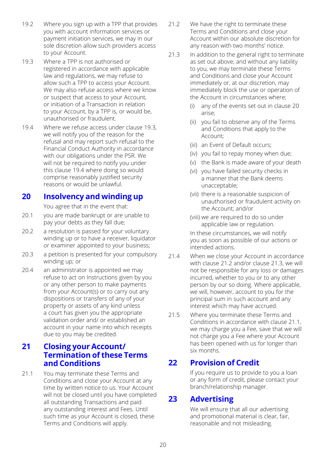- 19.2 Where you sign up with a TPP that provides you with account information services or payment initiation services, we may in our sole discretion allow such providers access to your Account.
- 19.3 Where a TPP is not authorised or registered in accordance with applicable law and regulations, we may refuse to allow such a TPP to access your Account. We may also refuse access where we know or suspect that access to your Account, or initiation of a Transaction in relation to your Account, by a TPP is, or would be, unauthorised or fraudulent.
- 19.4 Where we refuse access under clause 19.3, we will notify you of the reason for the refusal and may report such refusal to the Financial Conduct Authority in accordance with our obligations under the PSR. We will not be required to notify you under this clause 19.4 where doing so would comprise reasonably justified security reasons or would be unlawful.

# **20 Insolvency and winding up**

You agree that in the event that:

- 20.1 vou are made bankrupt or are unable to pay your debts as they fall due;
- 20.2 a resolution is passed for your voluntary winding up or to have a receiver, liquidator or examiner appointed to your business;
- 20.3 a petition is presented for your compulsory winding up; or
- 20.4 an administrator is appointed we may refuse to act on Instructions given by you or any other person to make payments from your Account(s) or to carry out any dispositions or transfers of any of your property or assets of any kind unless a court has given you the appropriate validation order and/ or established an account in your name into which receipts due to you may be credited.

# **21 Closing your Account/ Termination of these Terms and Conditions**

21.1 You may terminate these Terms and Conditions and close your Account at any time by written notice to us. Your Account will not be closed until you have completed all outstanding Transactions and paid any outstanding interest and Fees. Until such time as your Account is closed, these Terms and Conditions will apply.

- 21.2 We have the right to terminate these Terms and Conditions and close your Account within our absolute discretion for any reason with two months' notice.
- 21.3 In addition to the general right to terminate as set out above, and without any liability to you, we may terminate these Terms and Conditions and close your Account immediately or, at our discretion, may immediately block the use or operation of the Account in circumstances where;
	- (i) any of the events set out in clause 20 arise;
	- (ii) you fail to observe any of the Terms and Conditions that apply to the Account;
	- (iii) an Event of Default occurs;
	- (iv) you fail to repay money when due;
	- (v) the Bank is made aware of your death
	- (vi) you have failed security checks in a manner that the Bank deems unacceptable;
	- (vii) there is a reasonable suspicion of unauthorised or fraudulent activity on the Account; and/or
	- (viii) we are required to do so under applicable law or regulation.

In these circumstances, we will notify you as soon as possible of our actions or intended actions.

- 21.4 When we close your Account in accordance with clause 21.2 and/or clause 21.3, we will not be responsible for any loss or damages incurred, whether to you or to any other person by our so doing. Where applicable, we will, however, account to you for the principal sum in such account and any interest which may have accrued.
- 21.5 Where you terminate these Terms and Conditions in accordance with clause 21.1, we may charge you a Fee, save that we will not charge you a Fee where your Account has been opened with us for longer than six months.

# **22 Provision of Credit**

If you require us to provide to you a loan or any form of credit, please contact your branch/relationship manager.

# **23 Advertising**

We will ensure that all our advertising and promotional material is clear, fair, reasonable and not misleading.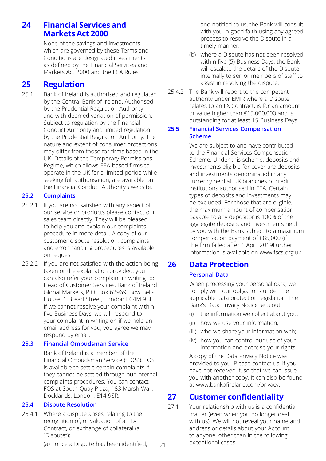# **24 Financial Services and Markets Act 2000**

None of the savings and investments which are governed by these Terms and Conditions are designated investments as defined by the Financial Services and Markets Act 2000 and the FCA Rules.

# **25 Regulation**

25.1 Bank of Ireland is authorised and regulated by the Central Bank of Ireland. Authorised by the Prudential Regulation Authority and with deemed variation of permission. Subject to regulation by the Financial Conduct Authority and limited regulation by the Prudential Regulation Authority. The nature and extent of consumer protections may differ from those for firms based in the UK. Details of the Temporary Permissions Regime, which allows EEA-based firms to operate in the UK for a limited period while seeking full authorisation, are available on the Financial Conduct Authority's website.

## **25.2 Complaints**

- 25.2.1 If you are not satisfied with any aspect of our service or products please contact our sales team directly. They will be pleased to help you and explain our complaints procedure in more detail. A copy of our customer dispute resolution, complaints and error handling procedures is available on request.
- 25.2.2 If you are not satisfied with the action being taken or the explanation provided, you can also refer your complaint in writing to: Head of Customer Services, Bank of Ireland Global Markets, P.O. Box 62969, Bow Bells House, 1 Bread Street, London EC4M 9BF. If we cannot resolve your complaint within five Business Days, we will respond to your complaint in writing or, if we hold an email address for you, you agree we may respond by email.

#### **25.3 Financial Ombudsman Service**

Bank of Ireland is a member of the Financial Ombudsman Service ("FOS"). FOS is available to settle certain complaints if they cannot be settled through our internal complaints procedures. You can contact FOS at South Quay Plaza, 183 Marsh Wall, Docklands, London, E14 9SR.

## **25.4 Dispute Resolution**

- 25.4.1 Where a dispute arises relating to the recognition of, or valuation of an FX Contract, or exchange of collateral (a "Dispute");
	- (a) once a Dispute has been identified,

21

and notified to us, the Bank will consult with you in good faith using any agreed process to resolve the Dispute in a timely manner.

- (b) where a Dispute has not been resolved within five (5) Business Days, the Bank will escalate the details of the Dispute internally to senior members of staff to assist in resolving the dispute.
- 25.4.2 The Bank will report to the competent authority under EMIR where a Dispute relates to an FX Contract, is for an amount or value higher than €15,000,000 and is outstanding for at least 15 Business Days.

#### **25.5 Financial Services Compensation Scheme**

We are subject to and have contributed to the Financial Services Compensation Scheme. Under this scheme, deposits and investments eligible for cover are deposits and investments denominated in any currency held at UK branches of credit institutions authorised in EEA. Certain types of deposits and investments may be excluded. For those that are eligible, the maximum amount of compensation payable to any depositor is 100% of the aggregate deposits and investments held by you with the Bank subject to a maximum compensation payment of £85,000 (if the firm failed after 1 April 2019Further information is available on www.fscs.org.uk.

# **26 Data Protection**

## **Personal Data**

When processing your personal data, we comply with our obligations under the applicable data protection legislation. The Bank's Data Privacy Notice sets out

- (i) the information we collect about you;
- (ii) how we use your information;
- (iii) who we share your information with;
- (iv) how you can control our use of your information and exercise your rights.

A copy of the Data Privacy Notice was provided to you. Please contact us, if you have not received it, so that we can issue you with another copy. It can also be found at www.bankofireland.com/privacy.

# **27 Customer confidentiality**

27.1 Your relationship with us is a confidential matter (even when you no longer deal with us). We will not reveal your name and address or details about your Account to anyone, other than in the following exceptional cases: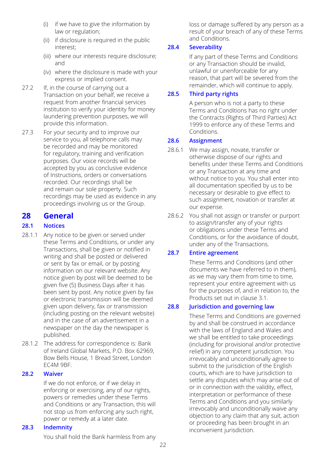- (i) if we have to give the information by law or regulation;
- (ii) if disclosure is required in the public interest;
- (iii) where our interests require disclosure; and
- (iv) where the disclosure is made with your express or implied consent.
- 27.2 If, in the course of carrying out a Transaction on your behalf, we receive a request from another financial services institution to verify your identity for money laundering prevention purposes, we will provide this information.
- 27.3 For your security and to improve our service to you, all telephone calls may be recorded and may be monitored for regulatory, training and verification purposes. Our voice records will be accepted by you as conclusive evidence of Instructions, orders or conversations recorded. Our recordings shall be and remain our sole property. Such recordings may be used as evidence in any proceedings involving us or the Group.

# **28 General**

# **28.1 Notices**

- 28.1.1 Any notice to be given or served under these Terms and Conditions, or under any Transactions, shall be given or notified in writing and shall be posted or delivered or sent by fax or email, or by posting information on our relevant website. Any notice given by post will be deemed to be given five (5) Business Days after it has been sent by post. Any notice given by fax or electronic transmission will be deemed given upon delivery, fax or transmission (including posting on the relevant website) and in the case of an advertisement in a newspaper on the day the newspaper is published.
- 28.1.2 The address for correspondence is: Bank of Ireland Global Markets, P.O. Box 62969, Bow Bells House, 1 Bread Street, London EC4M 9BF.

## **28.2 Waiver**

If we do not enforce, or if we delay in enforcing or exercising, any of our rights, powers or remedies under these Terms and Conditions or any Transaction, this will not stop us from enforcing any such right, power or remedy at a later date.

## **28.3 Indemnity**

You shall hold the Bank harmless from any

loss or damage suffered by any person as a result of your breach of any of these Terms and Conditions.

## **28.4 Severability**

If any part of these Terms and Conditions or any Transaction should be invalid, unlawful or unenforceable for any reason, that part will be severed from the remainder, which will continue to apply.

## **28.5 Third party rights**

A person who is not a party to these Terms and Conditions has no right under the Contracts (Rights of Third Parties) Act 1999 to enforce any of these Terms and Conditions.

## **28.6 Assignment**

- 28.6.1 We may assign, novate, transfer or otherwise dispose of our rights and benefits under these Terms and Conditions or any Transaction at any time and without notice to you. You shall enter into all documentation specified by us to be necessary or desirable to give effect to such assignment, novation or transfer at our expense.
- 28.6.2 You shall not assign or transfer or purport to assign/transfer any of your rights or obligations under these Terms and Conditions, or for the avoidance of doubt, under any of the Transactions.

## **28.7 Entire agreement**

These Terms and Conditions (and other documents we have referred to in them), as we may vary them from time to time, represent your entire agreement with us for the purposes of, and in relation to, the Products set out in clause 3.1.

## **28.8 Jurisdiction and governing law**

These Terms and Conditions are governed by and shall be construed in accordance with the laws of England and Wales and we shall be entitled to take proceedings (including for provisional and/or protective relief) in any competent jurisdiction. You irrevocably and unconditionally agree to submit to the jurisdiction of the English courts, which are to have jurisdiction to settle any disputes which may arise out of or in connection with the validity, effect, interpretation or performance of these Terms and Conditions and you similarly irrevocably and unconditionally waive any objection to any claim that any suit, action or proceeding has been brought in an inconvenient jurisdiction.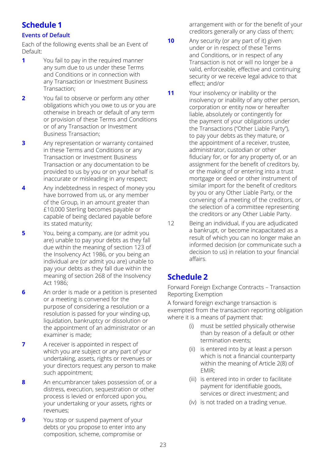# **Schedule 1**

# **Events of Default**

Each of the following events shall be an Event of Default:

- **1** You fail to pay in the required manner any sum due to us under these Terms and Conditions or in connection with any Transaction or Investment Business Transaction;
- **2** You fail to observe or perform any other obligations which you owe to us or you are otherwise in breach or default of any term or provision of these Terms and Conditions or of any Transaction or Investment Business Transaction;
- **3** Any representation or warranty contained in these Terms and Conditions or any Transaction or Investment Business Transaction or any documentation to be provided to us by you or on your behalf is inaccurate or misleading in any respect;
- **4** Any indebtedness in respect of money you have borrowed from us, or any member of the Group, in an amount greater than £10,000 Sterling becomes payable or capable of being declared payable before its stated maturity;
- **5** You, being a company, are (or admit you are) unable to pay your debts as they fall due within the meaning of section 123 of the Insolvency Act 1986, or you being an individual are (or admit you are) unable to pay your debts as they fall due within the meaning of section 268 of the Insolvency Act 1986;
- **6** An order is made or a petition is presented or a meeting is convened for the purpose of considering a resolution or a resolution is passed for your winding-up, liquidation, bankruptcy or dissolution or the appointment of an administrator or an examiner is made;
- **7** A receiver is appointed in respect of which you are subject or any part of your undertaking, assets, rights or revenues or your directors request any person to make such appointment;
- **8** An encumbrancer takes possession of, or a distress, execution, sequestration or other process is levied or enforced upon you, your undertaking or your assets, rights or revenues;
- **9** You stop or suspend payment of your debts or you propose to enter into any composition, scheme, compromise or

arrangement with or for the benefit of your creditors generally or any class of them;

- **10** Any security (or any part of it) given under or in respect of these Terms and Conditions, or in respect of any Transaction is not or will no longer be a valid, enforceable, effective and continuing security or we receive legal advice to that effect; and/or
- **11** Your insolvency or inability or the insolvency or inability of any other person, corporation or entity now or hereafter liable, absolutely or contingently for the payment of your obligations under the Transactions ("Other Liable Party"), to pay your debts as they mature, or the appointment of a receiver, trustee, administrator, custodian or other fiduciary for, or for any property of, or an assignment for the benefit of creditors by, or the making of or entering into a trust mortgage or deed or other instrument of similar import for the benefit of creditors by you or any Other Liable Party, or the convening of a meeting of the creditors, or the selection of a committee representing the creditors or any Other Liable Party.
- 12 Being an individual, if you are adjudicated a bankrupt, or become incapacitated as a result of which you can no longer make an informed decision (or communicate such a decision to us) in relation to your financial affairs.

# **Schedule 2**

Forward Foreign Exchange Contracts – Transaction Reporting Exemption

A forward foreign exchange transaction is exempted from the transaction reporting obligation where it is a means of payment that:

- (i) must be settled physically otherwise than by reason of a default or other termination events;
- (ii) is entered into by at least a person which is not a financial counterparty within the meaning of Article 2(8) of EMIR;
- (iii) is entered into in order to facilitate payment for identifiable goods, services or direct investment; and
- (iv) is not traded on a trading venue.